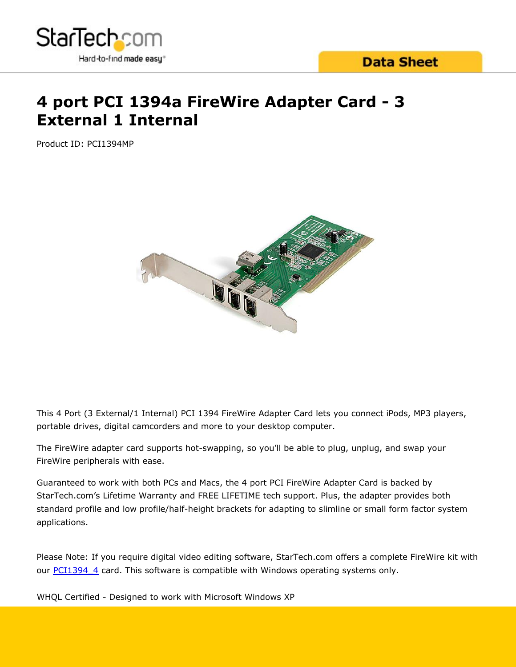

# **4 port PCI 1394a FireWire Adapter Card - 3 External 1 Internal**

Product ID: PCI1394MP



This 4 Port (3 External/1 Internal) PCI 1394 FireWire Adapter Card lets you connect iPods, MP3 players, portable drives, digital camcorders and more to your desktop computer.

The FireWire adapter card supports hot-swapping, so you'll be able to plug, unplug, and swap your FireWire peripherals with ease.

Guaranteed to work with both PCs and Macs, the 4 port PCI FireWire Adapter Card is backed by StarTech.com's Lifetime Warranty and FREE LIFETIME tech support. Plus, the adapter provides both standard profile and low profile/half-height brackets for adapting to slimline or small form factor system applications.

Please Note: If you require digital video editing software, StarTech.com offers a complete FireWire kit with our [PCI1394\\_4](/uk/Cards-Adapters/FireWire/4-Port-IEEE-1394-FireWire-PCI-Card-with-Digital-Video-Editing-Kit~PCI1394_4) card. This software is compatible with Windows operating systems only.

WHQL Certified - Designed to work with Microsoft Windows XP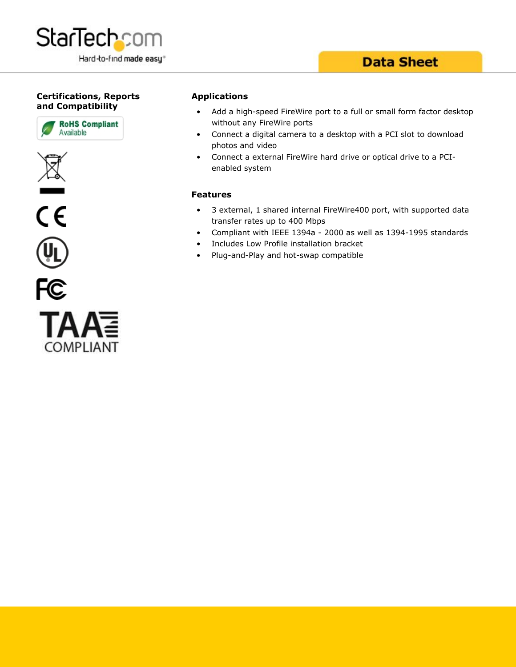

### **Data Sheet**

#### **Certifications, Reports and Compatibility**







#### **Applications**

- Add a high-speed FireWire port to a full or small form factor desktop without any FireWire ports
- Connect a digital camera to a desktop with a PCI slot to download photos and video
- Connect a external FireWire hard drive or optical drive to a PCIenabled system

#### **Features**

- 3 external, 1 shared internal FireWire400 port, with supported data transfer rates up to 400 Mbps
- Compliant with IEEE 1394a 2000 as well as 1394-1995 standards
- Includes Low Profile installation bracket
- Plug-and-Play and hot-swap compatible